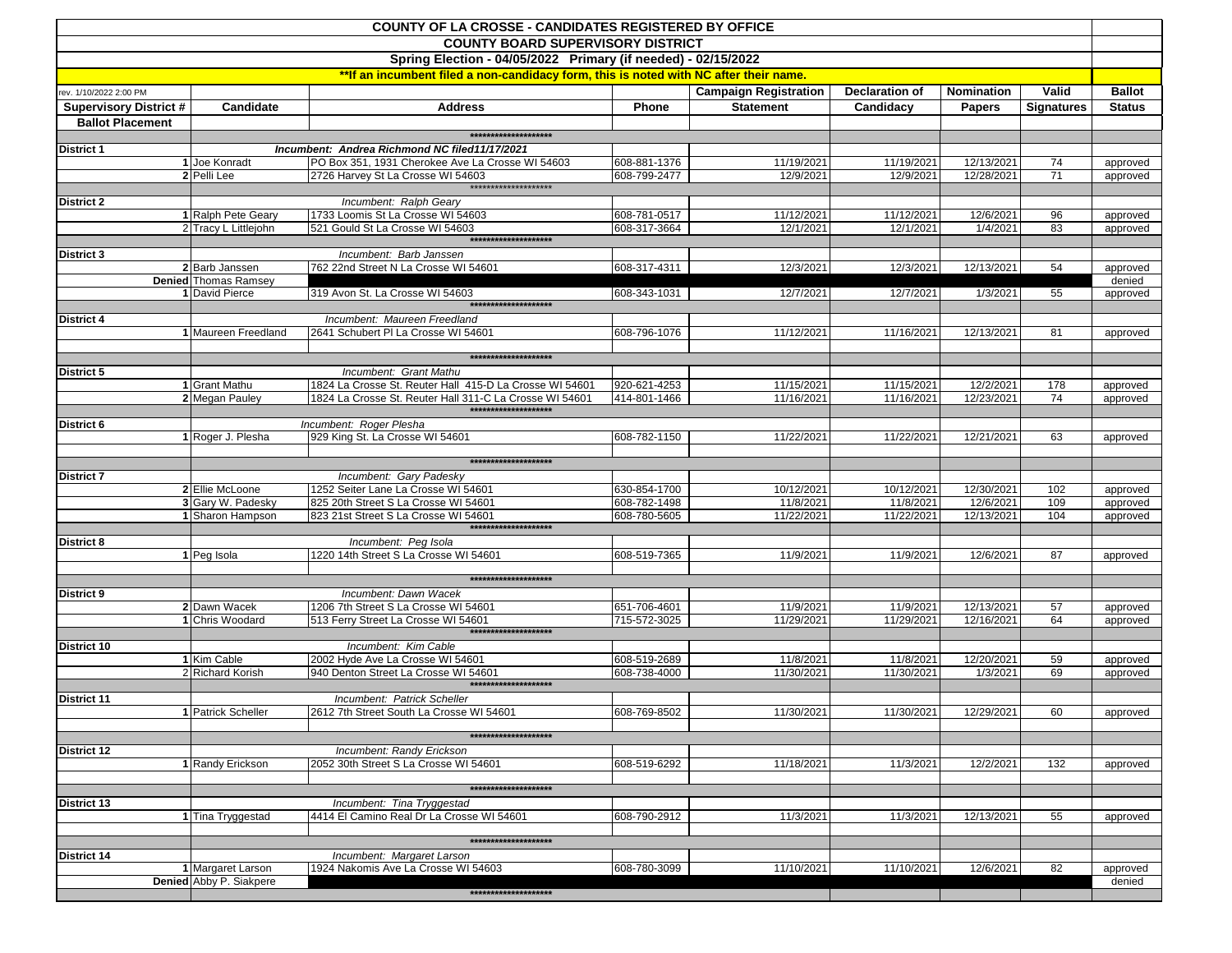| <b>COUNTY OF LA CROSSE - CANDIDATES REGISTERED BY OFFICE</b><br><b>COUNTY BOARD SUPERVISORY DISTRICT</b><br>Spring Election - 04/05/2022 Primary (if needed) - 02/15/2022 |                                      |                                                                                       |                              |                              |                         |                          |                   |                      |  |  |  |                                                                                       |  |
|---------------------------------------------------------------------------------------------------------------------------------------------------------------------------|--------------------------------------|---------------------------------------------------------------------------------------|------------------------------|------------------------------|-------------------------|--------------------------|-------------------|----------------------|--|--|--|---------------------------------------------------------------------------------------|--|
|                                                                                                                                                                           |                                      |                                                                                       |                              |                              |                         |                          |                   |                      |  |  |  | **If an incumbent filed a non-candidacy form, this is noted with NC after their name. |  |
|                                                                                                                                                                           |                                      |                                                                                       |                              |                              |                         |                          |                   |                      |  |  |  |                                                                                       |  |
| rev. 1/10/2022 2:00 PM                                                                                                                                                    |                                      |                                                                                       |                              | <b>Campaign Registration</b> | Declaration of          | Nomination               | Valid             | <b>Ballot</b>        |  |  |  |                                                                                       |  |
| <b>Supervisory District #</b>                                                                                                                                             | Candidate                            | <b>Address</b>                                                                        | Phone                        | <b>Statement</b>             | Candidacy               | <b>Papers</b>            | <b>Signatures</b> | <b>Status</b>        |  |  |  |                                                                                       |  |
| <b>Ballot Placement</b>                                                                                                                                                   |                                      | *******************                                                                   |                              |                              |                         |                          |                   |                      |  |  |  |                                                                                       |  |
|                                                                                                                                                                           |                                      |                                                                                       |                              |                              |                         |                          |                   |                      |  |  |  |                                                                                       |  |
| <b>District 1</b>                                                                                                                                                         |                                      | Incumbent: Andrea Richmond NC filed11/17/2021                                         |                              |                              |                         |                          |                   |                      |  |  |  |                                                                                       |  |
|                                                                                                                                                                           | 1 Joe Konradt<br>2 Pelli Lee         | PO Box 351, 1931 Cherokee Ave La Crosse WI 54603<br>2726 Harvey St La Crosse WI 54603 | 608-881-1376<br>608-799-2477 | 11/19/2021<br>12/9/2021      | 11/19/2021<br>12/9/2021 | 12/13/2021<br>12/28/2021 | 74<br>71          | approved<br>approved |  |  |  |                                                                                       |  |
|                                                                                                                                                                           |                                      | ********************                                                                  |                              |                              |                         |                          |                   |                      |  |  |  |                                                                                       |  |
| <b>District 2</b>                                                                                                                                                         |                                      | Incumbent: Ralph Geary                                                                |                              |                              |                         |                          |                   |                      |  |  |  |                                                                                       |  |
|                                                                                                                                                                           | 1 Ralph Pete Geary                   | 1733 Loomis St La Crosse WI 54603                                                     | 608-781-0517                 | 11/12/2021                   | 11/12/2021              | 12/6/2021                | 96                | approved             |  |  |  |                                                                                       |  |
|                                                                                                                                                                           | 2 Tracy L Littlejohn                 | 521 Gould St La Crosse WI 54603                                                       | 608-317-3664                 | 12/1/2021                    | 12/1/2021               | 1/4/2021                 | 83                | approved             |  |  |  |                                                                                       |  |
|                                                                                                                                                                           |                                      | ********************                                                                  |                              |                              |                         |                          |                   |                      |  |  |  |                                                                                       |  |
| District 3                                                                                                                                                                |                                      | Incumbent: Barb Janssen                                                               |                              |                              |                         |                          |                   |                      |  |  |  |                                                                                       |  |
|                                                                                                                                                                           | 2 Barb Janssen                       | 762 22nd Street N La Crosse WI 54601                                                  | 608-317-4311                 | 12/3/2021                    | 12/3/2021               | 12/13/2021               | 54                | approved             |  |  |  |                                                                                       |  |
|                                                                                                                                                                           | Denied Thomas Ramsey                 |                                                                                       |                              |                              |                         |                          |                   | denied               |  |  |  |                                                                                       |  |
|                                                                                                                                                                           | 1 David Pierce                       | 319 Avon St. La Crosse WI 54603<br>*******************                                | 608-343-1031                 | 12/7/2021                    | 12/7/2021               | 1/3/2021                 | 55                | approved             |  |  |  |                                                                                       |  |
|                                                                                                                                                                           |                                      |                                                                                       |                              |                              |                         |                          |                   |                      |  |  |  |                                                                                       |  |
| District 4                                                                                                                                                                |                                      | Incumbent: Maureen Freedland                                                          |                              |                              |                         |                          |                   |                      |  |  |  |                                                                                       |  |
|                                                                                                                                                                           | 1 Maureen Freedland                  | 2641 Schubert PI La Crosse WI 54601                                                   | 608-796-1076                 | 11/12/2021                   | 11/16/2021              | 12/13/2021               | 81                | approved             |  |  |  |                                                                                       |  |
|                                                                                                                                                                           |                                      | ********************                                                                  |                              |                              |                         |                          |                   |                      |  |  |  |                                                                                       |  |
| District 5                                                                                                                                                                |                                      | Incumbent: Grant Mathu                                                                |                              |                              |                         |                          |                   |                      |  |  |  |                                                                                       |  |
|                                                                                                                                                                           | 1 Grant Mathu                        | 1824 La Crosse St. Reuter Hall 415-D La Crosse WI 54601                               | 920-621-4253                 | 11/15/2021                   | 11/15/2021              | 12/2/2021                | 178               | approved             |  |  |  |                                                                                       |  |
|                                                                                                                                                                           | 2 Megan Pauley                       | 1824 La Crosse St. Reuter Hall 311-C La Crosse WI 54601                               | 414-801-1466                 | 11/16/2021                   | 11/16/2021              | 12/23/2021               | 74                | approved             |  |  |  |                                                                                       |  |
|                                                                                                                                                                           |                                      | ********************                                                                  |                              |                              |                         |                          |                   |                      |  |  |  |                                                                                       |  |
| District 6                                                                                                                                                                |                                      | Incumbent: Roger Plesha                                                               |                              |                              |                         |                          |                   |                      |  |  |  |                                                                                       |  |
|                                                                                                                                                                           | 1 Roger J. Plesha                    | 929 King St. La Crosse WI 54601                                                       | 608-782-1150                 | 11/22/2021                   | 11/22/2021              | 12/21/2021               | 63                | approved             |  |  |  |                                                                                       |  |
|                                                                                                                                                                           |                                      |                                                                                       |                              |                              |                         |                          |                   |                      |  |  |  |                                                                                       |  |
|                                                                                                                                                                           |                                      | ********************                                                                  |                              |                              |                         |                          |                   |                      |  |  |  |                                                                                       |  |
| <b>District 7</b>                                                                                                                                                         |                                      | Incumbent: Gary Padesky                                                               |                              |                              |                         |                          |                   |                      |  |  |  |                                                                                       |  |
|                                                                                                                                                                           | 2 Ellie McLoone<br>3 Gary W. Padesky | 1252 Seiter Lane La Crosse WI 54601<br>825 20th Street S La Crosse WI 54601           | 630-854-1700<br>608-782-1498 | 10/12/2021<br>11/8/2021      | 10/12/2021<br>11/8/2021 | 12/30/2021<br>12/6/2021  | 102<br>109        | approved             |  |  |  |                                                                                       |  |
|                                                                                                                                                                           | 1 Sharon Hampson                     | 823 21st Street S La Crosse WI 54601                                                  | 608-780-5605                 | 11/22/2021                   | 11/22/2021              | 12/13/2021               | 104               | approved<br>approved |  |  |  |                                                                                       |  |
|                                                                                                                                                                           |                                      | ********************                                                                  |                              |                              |                         |                          |                   |                      |  |  |  |                                                                                       |  |
| <b>District 8</b>                                                                                                                                                         |                                      | Incumbent: Peg Isola                                                                  |                              |                              |                         |                          |                   |                      |  |  |  |                                                                                       |  |
|                                                                                                                                                                           | 1 Peg Isola                          | 1220 14th Street S La Crosse WI 54601                                                 | 608-519-7365                 | 11/9/2021                    | 11/9/2021               | 12/6/2021                | 87                | approved             |  |  |  |                                                                                       |  |
|                                                                                                                                                                           |                                      |                                                                                       |                              |                              |                         |                          |                   |                      |  |  |  |                                                                                       |  |
|                                                                                                                                                                           |                                      | *******************                                                                   |                              |                              |                         |                          |                   |                      |  |  |  |                                                                                       |  |
| <b>District 9</b>                                                                                                                                                         |                                      | Incumbent: Dawn Wacek                                                                 |                              |                              |                         |                          |                   |                      |  |  |  |                                                                                       |  |
|                                                                                                                                                                           | 2 Dawn Wacek                         | 1206 7th Street S La Crosse WI 54601                                                  | 651-706-4601                 | 11/9/2021                    | 11/9/2021               | 12/13/2021               | 57                | approved             |  |  |  |                                                                                       |  |
|                                                                                                                                                                           | 1 Chris Woodard                      | 513 Ferry Street La Crosse WI 54601<br>*******************                            | 715-572-3025                 | 11/29/2021                   | 11/29/2021              | 12/16/2021               | 64                | approved             |  |  |  |                                                                                       |  |
|                                                                                                                                                                           |                                      |                                                                                       |                              |                              |                         |                          |                   |                      |  |  |  |                                                                                       |  |
| District 10                                                                                                                                                               | 1 Kim Cable                          | Incumbent: Kim Cable<br>2002 Hyde Ave La Crosse WI 54601                              | 608-519-2689                 | 11/8/2021                    | 11/8/2021               | 12/20/2021               | 59                |                      |  |  |  |                                                                                       |  |
|                                                                                                                                                                           | 2 Richard Korish                     | 940 Denton Street La Crosse WI 54601                                                  | 608-738-4000                 | 11/30/2021                   | 11/30/2021              | 1/3/2021                 | 69                | approved<br>approved |  |  |  |                                                                                       |  |
|                                                                                                                                                                           |                                      | ********************                                                                  |                              |                              |                         |                          |                   |                      |  |  |  |                                                                                       |  |
| <b>District 11</b>                                                                                                                                                        |                                      | Incumbent: Patrick Scheller                                                           |                              |                              |                         |                          |                   |                      |  |  |  |                                                                                       |  |
|                                                                                                                                                                           | 1 Patrick Scheller                   | 2612 7th Street South La Crosse WI 54601                                              | 608-769-8502                 | 11/30/2021                   | 11/30/2021              | 12/29/2021               | 60                | approved             |  |  |  |                                                                                       |  |
|                                                                                                                                                                           |                                      |                                                                                       |                              |                              |                         |                          |                   |                      |  |  |  |                                                                                       |  |
|                                                                                                                                                                           |                                      | ********************                                                                  |                              |                              |                         |                          |                   |                      |  |  |  |                                                                                       |  |
| <b>District 12</b>                                                                                                                                                        |                                      | Incumbent: Randy Erickson                                                             |                              |                              |                         |                          |                   |                      |  |  |  |                                                                                       |  |
|                                                                                                                                                                           | 1 Randy Erickson                     | 2052 30th Street S La Crosse WI 54601                                                 | 608-519-6292                 | 11/18/2021                   | 11/3/2021               | 12/2/2021                | 132               | approved             |  |  |  |                                                                                       |  |
|                                                                                                                                                                           |                                      |                                                                                       |                              |                              |                         |                          |                   |                      |  |  |  |                                                                                       |  |
|                                                                                                                                                                           |                                      | *******************                                                                   |                              |                              |                         |                          |                   |                      |  |  |  |                                                                                       |  |
| <b>District 13</b>                                                                                                                                                        |                                      | Incumbent: Tina Tryggestad                                                            |                              |                              |                         |                          |                   |                      |  |  |  |                                                                                       |  |
|                                                                                                                                                                           | 1 Tina Tryggestad                    | 4414 El Camino Real Dr La Crosse WI 54601                                             | 608-790-2912                 | 11/3/2021                    | 11/3/2021               | 12/13/2021               | 55                | approved             |  |  |  |                                                                                       |  |
|                                                                                                                                                                           |                                      | ********************                                                                  |                              |                              |                         |                          |                   |                      |  |  |  |                                                                                       |  |
|                                                                                                                                                                           |                                      |                                                                                       |                              |                              |                         |                          |                   |                      |  |  |  |                                                                                       |  |
| District 14                                                                                                                                                               | 1 Margaret Larson                    | Incumbent: Margaret Larson<br>1924 Nakomis Ave La Crosse WI 54603                     | 608-780-3099                 | 11/10/2021                   | 11/10/2021              | 12/6/2021                | 82                | approved             |  |  |  |                                                                                       |  |
|                                                                                                                                                                           | Denied Abby P. Siakpere              |                                                                                       |                              |                              |                         |                          |                   | denied               |  |  |  |                                                                                       |  |
|                                                                                                                                                                           |                                      | ********************                                                                  |                              |                              |                         |                          |                   |                      |  |  |  |                                                                                       |  |
|                                                                                                                                                                           |                                      |                                                                                       |                              |                              |                         |                          |                   |                      |  |  |  |                                                                                       |  |